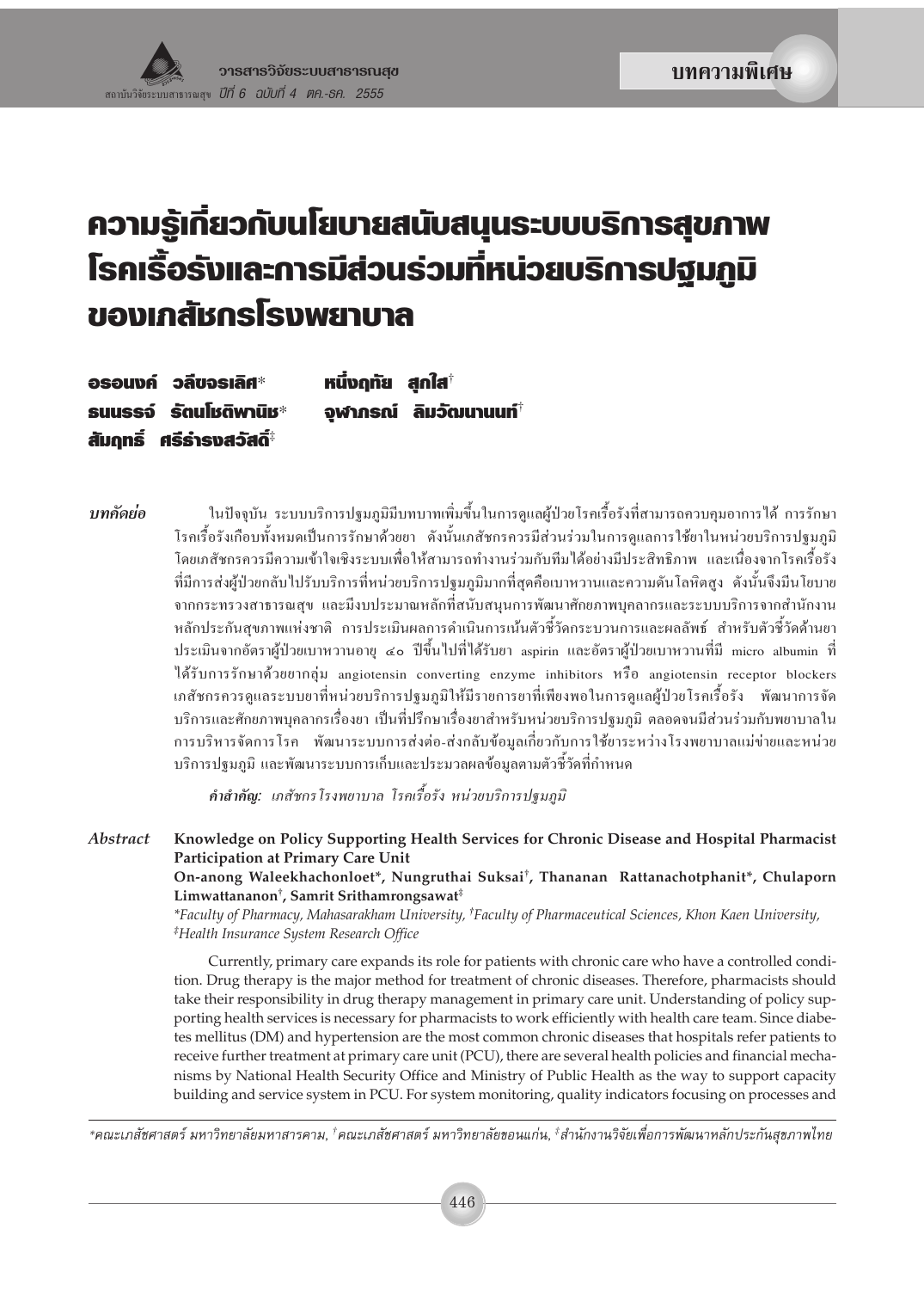# ความรู้เกี่ยวกับนโยบายสนับสนุนระบบบริการสุขภาพ โรคเรื้อรังและการมีส่วนร่วมที่หน่วยบริการปฐมภูมิ ของเภสัชกรโรงพยาบาล

หนึ่งฤทัย สกใส $^{\dagger}$ อรอนงค์ วลีขจรเลิศ $\ast$ จฬาภรณ์ ลิมวัฒนานนท์ $^\dagger$ รมมรรจ์ รัตนโหติพานิห $\ast$ สัมฤทธิ์ ศรีธำรงสวัสดิ์‡

ในปัจจุบัน ระบบบริการปฐมภูมิมีบทบาทเพิ่มขึ้นในการดูแลผู้ป่วยโรคเรื้อรังที่สามารถควบคุมอาการได้ การรักษา บทดัดย่อ โรคเรื้อรังเกือบทั้งหมดเป็นการรักษาด้วยยา ดังนั้นเภสัชกรควรมีส่วนร่วมในการดูแลการใช้ยาในหน่วยบริการปฐมภูมิ โดยเภสัชกรควรมีความเข้าใจเชิงระบบเพื่อให้สามารถทำงานร่วมกับทีมได้อย่างมีประสิทธิภาพ และเนื่องจากโรคเรื้อรัง ที่มีการส่งผู้ป่วยกลับไปรับบริการที่หน่วยบริการปฐมภูมิมากที่สุดคือเบาหวานและความดันโลหิตสูง ดังนั้นจึงมีนโยบาย จากกระทรวงสาธารณสุข และมีงบประมาณหลักที่สนับสนุนการพัฒนาศักยภาพบุคลากรและระบบบริการจากสำนักงาน หลักประกันสุขภาพแห่งชาติ การประเมินผลการดำเนินการเน้นตัวชี้วัดกระบวนการและผลลัพธ์ สำหรับตัวชี้วัดด้านยา ประเมินจากอัตราผู้ป่วยเบาหวานอายุ ๔๐ ปีขึ้นไปที่ได้รับยา aspirin และอัตราผู้ป่วยเบาหวานที่มี micro albumin ที่ ใต้รับการรักษาด้วยยากลุ่ม angiotensin converting enzyme inhibitors หรือ angiotensin receptor blockers ี่ เภสัชกรควรดูแลระบบยาที่หน่วยบริการปฐมภูมิให้มีรายการยาที่เพียงพอในการดูแลผู้ป่วยโรคเรื้อรัง พัฒนาการจัด ้ บริการและศักยภาพบุคลากรเรื่องยา เป็นที่ปรึกษาเรื่องยาสำหรับหน่วยบริการปฐมภูมิ ตลอดจนมีส่วนร่วมกับพยาบาลใน การบริหารจัดการโรค พัฒนาระบบการส่งต่อ-ส่งกลับข้อมูลเกี่ยวกับการใช้ยาระหว่างโรงพยาบาลแม่ข่ายและหน่วย ึบริการปฐมภูมิ และพัฒนาระบบการเก็บและประมวลผลข้อมูลตามตัวชี้วัดที่กำหนด

คำ<mark>สำคัญ:</mark> เภสัชกรโรงพยาบาล โรคเรื้อรัง หน่วยบริการป*จมภมิ* 

**Abstract** Knowledge on Policy Supporting Health Services for Chronic Disease and Hospital Pharmacist Participation at Primary Care Unit

On-anong Waleekhachonloet\*, Nungruthai Suksai<sup>†</sup>, Thananan Rattanachotphanit\*, Chulaporn Limwattananon<sup>†</sup>, Samrit Srithamrongsawat<sup>‡</sup>

\*Faculty of Pharmacy, Mahasarakham University, <sup>†</sup>Faculty of Pharmaceutical Sciences, Khon Kaen University, <sup>#</sup>Health Insurance System Research Office

Currently, primary care expands its role for patients with chronic care who have a controlled condition. Drug therapy is the major method for treatment of chronic diseases. Therefore, pharmacists should take their responsibility in drug therapy management in primary care unit. Understanding of policy supporting health services is necessary for pharmacists to work efficiently with health care team. Since diabetes mellitus (DM) and hypertension are the most common chronic diseases that hospitals refer patients to receive further treatment at primary care unit (PCU), there are several health policies and financial mechanisms by National Health Security Office and Ministry of Public Health as the way to support capacity building and service system in PCU. For system monitoring, quality indicators focusing on processes and

\*คณะเภสัชศาสตร์ มหาวิทยาลัยมหาสารคาม, †คณะเภสัชศาสตร์ มหาวิทยาลัยขอนแก่น, ‡สำนักงานวิจัยเพื่อการพัฒนาหลักประกันสุขภาพไทย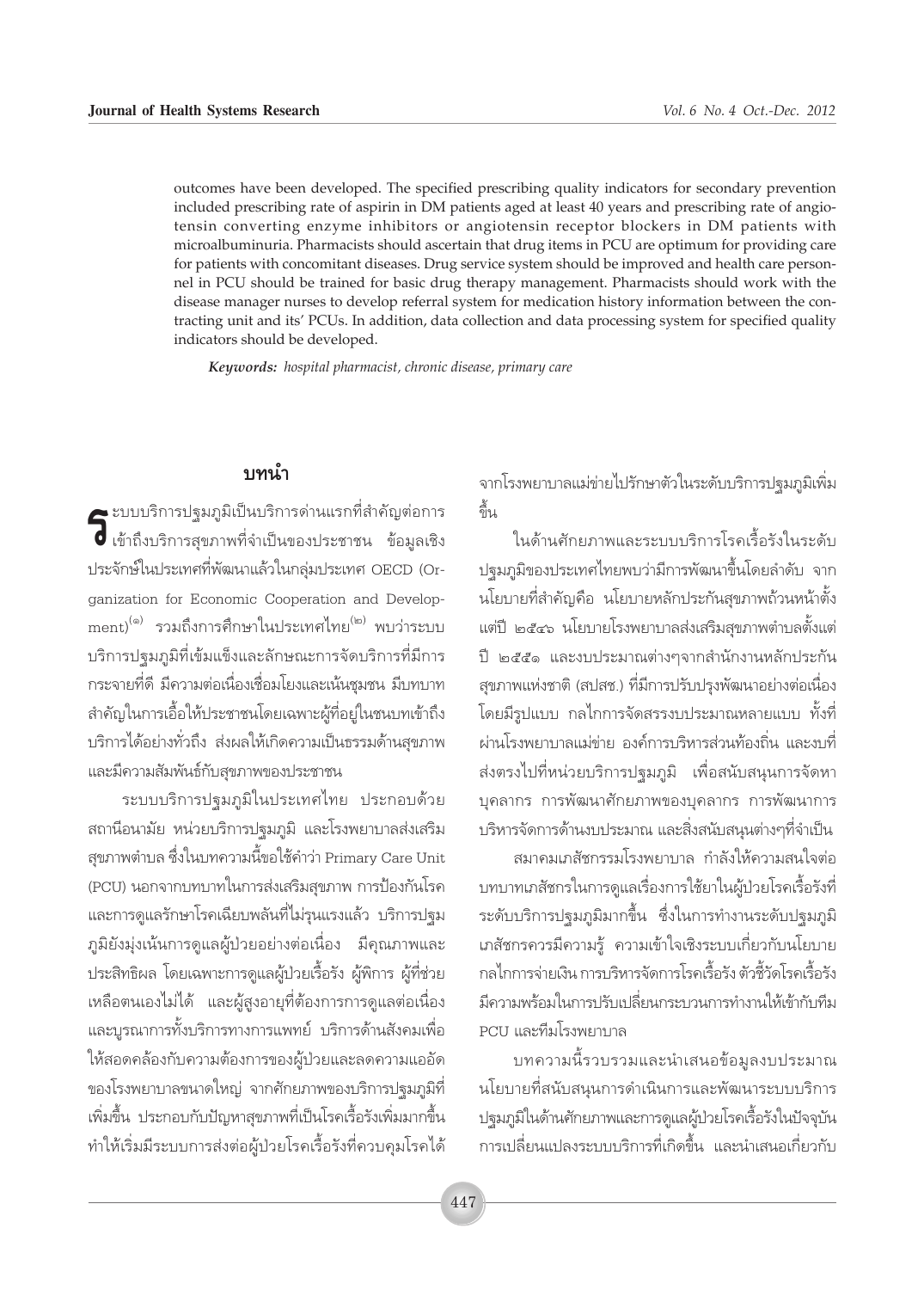outcomes have been developed. The specified prescribing quality indicators for secondary prevention included prescribing rate of aspirin in DM patients aged at least 40 years and prescribing rate of angiotensin converting enzyme inhibitors or angiotensin receptor blockers in DM patients with microalbuminuria. Pharmacists should ascertain that drug items in PCU are optimum for providing care for patients with concomitant diseases. Drug service system should be improved and health care personnel in PCU should be trained for basic drug therapy management. Pharmacists should work with the disease manager nurses to develop referral system for medication history information between the contracting unit and its' PCUs. In addition, data collection and data processing system for specified quality indicators should be developed.

*Keywords: hospital pharmacist, chronic disease, primary care*

#### <u>ำเทนำ</u>

 $\bigodot$  ะบบบริการปฐมภูมิเป็นบริการด่านแรกที่สำคัญต่อการ<br>⊘ี เข้าถึงบริการสุขภาพที่จำเป็นของประชาชน ข้อมูลเชิง **す** เข้าถึงบริการสุขภาพที่จำเป็นของประชาชน ข้อมูลเชิง ประจักษ์ในประเทศที่พัฒนาแล้วในกล่มประเทศ OECD (Organization for Economic Cooperation and Development)<sup>(๑)</sup> รวมถึงการศึกษาในประเทศไทย<sup>(๒)</sup> พบว่าระบบ บริการปฐมภูมิที่เข้มแข็งและลักษณะการจัดบริการที่มีการ ึกระจายที่ดี มีความต่อเนื่องเชื่อมโยงและเน้นชุมชน มีบทบาท สำคัญในการเอื้อให้ประชาชนโดยเฉพาะผู้ที่อยู่ในชนบทเข้าถึง ้บริการได้อย่างทั่วถึง ส่งผลให้เกิดความเป็นธรรมด้านสุขภาพ เเละมีความสัมพันธ์์กับสุขภาพของประชาชน

ึ่ระบบบริการปจุมภูมิในประเทศไทย ประกอบด้วย ิสถานือนามัย หน่วยบริการปฐมภูมิ และโรงพยาบาลส่งเสริม สุขภาพตำบล ซึ่งในบทความนี้ขอใช้คำว่า Primary Care Unit (PCU) นอกจากบทบาทในการส่งเสริมสุขภาพ การป้องกันโรค ้และการดูแลรักษาโรคเฉียบพลันที่ไม่รุนแรงแล้ว บริการปฐม ิ ภูมิยังมุ่งเน้นการดูแลผู้ป่วยอย่างต่อเนื่อง มีคุณภาพและ ู้ ประสิทธิผล โดยเฉพาะการดูแลผู้ป่วยเรื้อรัง ผู้พิการ ผู้ที่ช่วย เหลือตนเองไม่ได้ และผู้สูงอายุที่ต้องการการดูแลต่อเนื่อง และบูรณาการทั้งบริการทางการแพทย์ บริการด้านสังคมเพื่อ ให้สอดคล้องกับความต้องการของผู้ป่วยและลดความแออัด ึ ของโรงพยาบาลขนาดใหญ่ จากศักยภาพของบริการปฐมภูมิที่ เพิ่มขึ้น ประกอบกับปัญหาสุขภาพที่เป็นโรคเรื้อรังเพิ่มมากขึ้น ทำให้เริ่มมีระบบการส่งต่อผู้ป่วยโรคเรื้อรังที่ควบคุมโรคได้ จากโรงพยาบาลแม่ข่ายไปรักษาตัวในระดับบริการปฐมภูมิเพิ่ม ู้<br>ขึ้น

ในด้านศักยภาพและระบบบริการโรคเรื้อรังในระดับ ึ ปจมภมิของประเทศไทยพบว่ามีการพัฒนาขึ้นโดยลำดับ จาก ึนโยบายที่สำคัญคือ นโยบายหลักประกันสุขภาพถ้วนหน้าตั้ง แต่ปี ๒๕๔๖ นโยบายโรงพยาบาลส่งเสริมสฺขภาพตำบลตั้งแต่ ู้ ปี ๒๕๕๑ และงบประมาณต่างๆจากสำนักงานหลักประกัน สุขภาพแห่งชาติ (สปสช.) ที่มีการปรับปรุงพัฒนาอย่างต่อเนื่อง ู้ โดยมีรูปแบบ กลไกการจัดสรรงบประมาณหลายแบบ ทั้งที่ ผ่านโรงพยาบาลแม่ข่าย องค์การบริหารส่วนท้องถิ่น และงบที่ ส่งตรงไปที่หน่วยบริการปฐมภูมิ เพื่อสนับสนุนการจัดหา ู้ บุคลากร การพัฒนาศักยภาพของบุคลากร การพัฒนาการ ู้ บริหารจัดการด้านงบประมาณ และสิ่งสนับสนุนต่างๆที่จำเป็น

สมาคมเภสัชกรรมโรงพยาบาล กำลังให้ความสนใจต่อ ืบทบาทเภสัชกรในการดูแลเรื่องการใช้ยาในผู้ป่วยโรคเรื้อรังที่ ้ระดับบริการปฐมภูมิมากขึ้น ซึ่งในการทำงานระดับปฐมภูมิ เภสัชกรควรมีความรู้ ความเข้าใจเชิงระบบเกี่ยวกับนโยบาย ึกลไกการจ่ายเงิน การบริหารจัดการโรคเรื้อรัง ตัวชี้วัดโรคเรื้อรัง ู้มีความพร้อมในการปรับเปลี่ยนกระบวนการทำงานให้เข้ากับทีม PCU และทีมโรงพยาบาล

บทความนี้รวบรวมและนำเสนอข้อมูลงบประมาณ นโยบายที่สนับสนุนการดำเนินการและพัฒนาระบบบริการ ิ ปฐมภูมิในด้านศักยภาพและการดูแลผู้ป่วยโรคเรื้อรังในปัจจุบัน การเปลี่ยนแปลงระบบบริการที่เกิดขึ้น และนำเสนอเกี่ยวกับ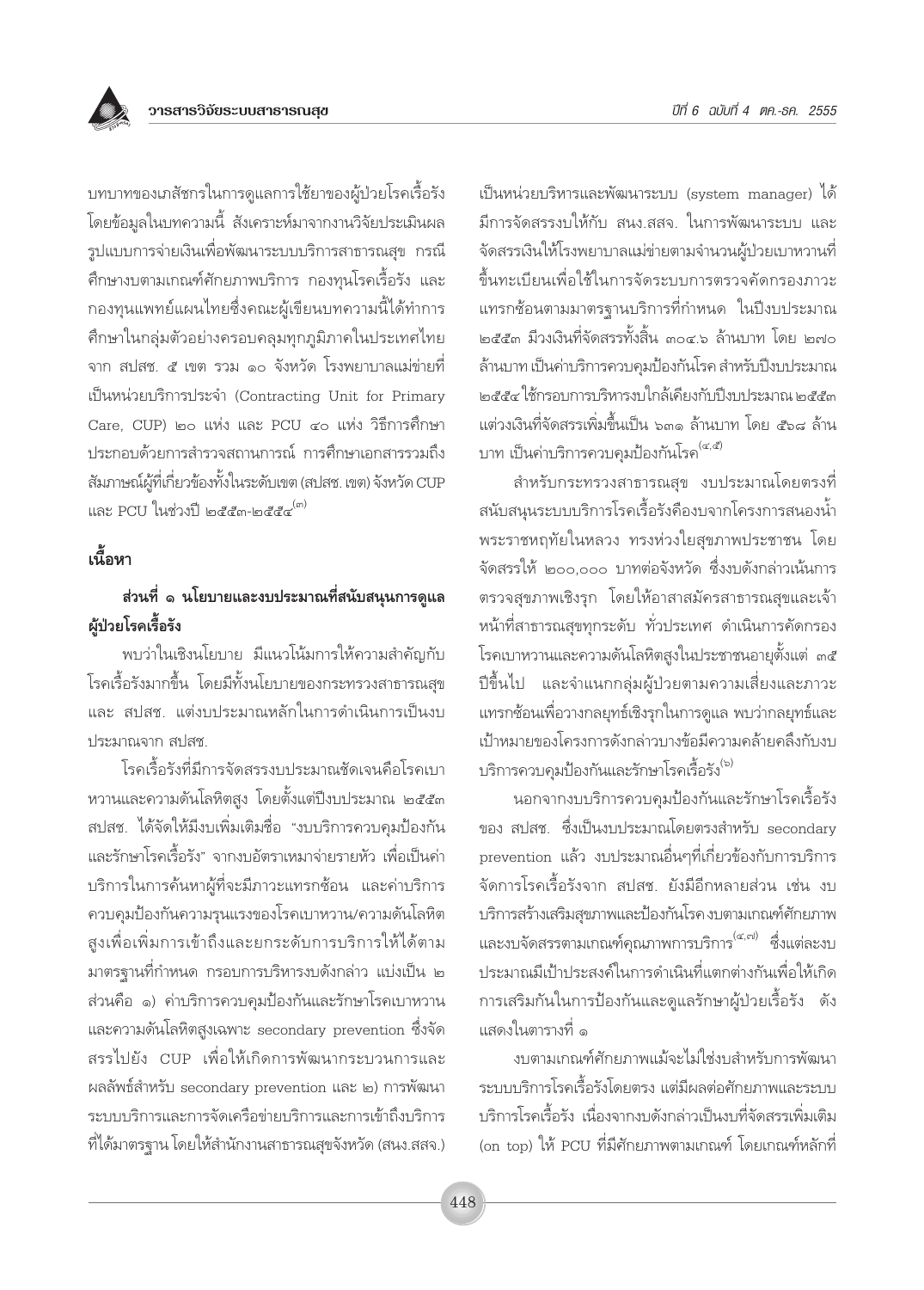<u>บทบาทของเภสัชกรในการดูแลการใช้ยาของผู้ป่วยโรคเรื้อรัง</u> โดยข้อมูลในบทความนี้ สังเคราะห์มาจากงานวิจัยประเมินผล รูปแบบการจ่ายเงินเพื่อพัฒนาระบบบริการสาธารณสุข กรณี ้ศึกษางบตามเกณฑ์ศักยภาพบริการ กองทุนโรคเรื้อรัง และ ึกองทุนแพทย์แผนไทยซึ่งคณะผู้เขียนบทความนี้ได้ทำการ คึกษาในกลุ่มตัวอย่างครอบคลุมทุกภูมิภาคในประเทศไทย จาก สปสช. ๕ เขต รวม ๑๐ จังหวัด โรงพยาบาลแม่ข่ายที่ เป็นหน่วยบริการประจำ (Contracting Unit for Primary Care, CUP) ๒๐ แห่ง และ PCU ๔๐ แห่ง วิธีการศึกษา ประกอบด้วยการสำรวจสถานการณ์ การศึกษาเอกสารรวมถึง สัมภาษณ์ผู้ที่เกี่ยวข้องทั้งในระดับเขต (สปสช. เขต) จังหวัด CUP และ PCU ในช่วงปี ๒๕๕๓-๒๕๕๔ <sup>(๓)</sup>

## ้เนื้อหา

## ้ส่วนที่ ๑ นโยบายและงบประมาณที่สนับสนุนการดูแล ผู้ป่วยโรคเรื้อรัง

พบว่าในเชิงนโยบาย มีแนวโน้มการให้ความสำคัญกับ โรคเรื้อรังมากขึ้น โดยมีทั้งนโยบายของกระทรวงสาธารณสุข และ สปสช. แต่งบประมาณหลักในการดำเนินการเป็นงบ ประมาณจาก สปสช

โรคเรื้อรังที่มีการจัดสรรงบประมาณชัดเจนคือโรคเบา หวานและความดันโลหิตสูง โดยตั้งแต่ปีงบประมาณ ๒๕๕๓ สปสช. ได้จัดให้มีงบเพิ่มเติมชื่อ "งบบริการควบคุมป้องกัน และรักษาโรคเรื้อรัง" จากงบอัตราเหมาจ่ายรายหัว เพื่อเป็นค่า บริการในการค้นหาผู้ที่จะมีภาวะแทรกช้อน และค่าบริการ ควบคุมป้องกันความรุนแรงของโรคเบาหวาน/ความดันโลหิต สูงเพื่อเพิ่มการเข้าถึงและยกระดับการบริการให้ได้ตาม ้มาตรฐานที่กำหนด กรอบการบริหารงบดังกล่าว แบ่งเป็น ๒ ส่วนคือ ๑) ค่าบริการควบคุมป้องกันและรักษาโรคเบาหวาน และความดันโลหิตสูงเฉพาะ secondary prevention ซึ่งจัด สรรไปยัง CUP เพื่อให้เกิดการพัฒนากระบวนการและ ผลลัพธ์สำหรับ secondary prevention และ ๒) การพัฒนา ระบบบริการและการจัดเครือข่ายบริการและการเข้าถึงบริการ ู้ที่ได้มาตรฐาน โดยให้สำนักงานสาธารณสุขจังหวัด (สนง.สสจ.)

เป็นหน่วยบริหารและพัฒนาระบบ (system manager) ได้ มีการจัดสรรงบให้กับ สนง.สสจ. ในการพัฒนาระบบ และ จัดสรรเงินให้โรงพยาบาลแม่ข่ายตามจำนวนผู้ป่วยเบาหวานที่ ขึ้นทะเบียนเพื่อใช้ในการจัดระบบการตรวจคัดกรองภาวะ แทรกซ้อนตามมาตรฐานบริการที่กำหนด ในปีงบประมาณ ็๒๕๕๓ มีวงเงินที่จัดสรรทั้งสิ้น ๓๐๔.๖ ล้านบาท โดย ๒๗๐ ล้านบาท เป็นค่าบริการควบคมป้องกันโรค สำหรับปีงบประมาณ ๒๕๕๔ ใช้กรอบการบริหารงบใกล้เคียงกับปีงบประมาณ ๒๕๕๓ แต่วงเงินที่จัดสรรเพิ่มขึ้นเป็น ๖๓๑ ล้านบาท โดย ๕๖๘ ล้าน บาท เป็นค่าบริการควบคุมป้องกันโรค<sup>(๔,๕)</sup>

้สำหรับกระทรวงสาธารณสุข งบประมาณโดยตรงที่ สนับสนุนระบบบริการโรคเรื้อรังคืองบจากโครงการสนองน้ำ พระราชหฤทัยในหลวง ทรงห่วงใยสุขภาพประชาชน โดย จัดสรรให้ ๒๐๐,๐๐๐ บาทต่อจังหวัด ซึ่งงบดังกล่าวเน้นการ ตรวจสุขภาพเชิงรุก โดยให้อาสาสมัครสาธารณสุขและเจ้า หน้าที่สาธารณสุขทุกระดับ ทั่วประเทศ ดำเนินการคัดกรอง โรคเบาหวานและความดันโลหิตสูงในประชาชนอายุตั้งแต่ ๓๕ ปีขึ้นไป และจำแนกกลุ่มผู้ป่วยตามความเสี่ยงและภาวะ แทรกซ้อนเพื่อวางกลยุทธ์เชิงรุกในการดูแล พบว่ากลยุทธ์และ เป้าหมายของโครงการดังกล่าวบางข้อมีความคล้ายคลึงกับงบ <sup>บริการควบคมป้องกันและรักษาโรคเรื้อรัง<sup>(๖)</sup></sup>

นอกจากงบบริการควบคุมป้องกันและรักษาโรคเรื้อรัง ของ สปสช. ซึ่งเป็นงบประมาณโดยตรงสำหรับ secondary prevention แล้ว งบประมาณอื่นๆที่เกี่ยวข้องกับการบริการ จัดการโรคเรื้อรังจาก สปสช. ยังมีอีกหลายส่วน เช่น งบ บริการสร้างเสริมสุขภาพและป้องกันโรคงบตามเกณฑ์ศักยภาพ และงบจัดสรรตามเกณฑ์คุณภาพการบริการ<sup>(๔,๗)</sup> ซึ่งแต่ละงบ ประมาณมีเป้าประสงค์ในการดำเนินที่แตกต่างกันเพื่อให้เกิด การเสริมกันในการป้องกันและดูแลรักษาผู้ป่วยเรื้อรัง ดัง แสดงในตารางที่ ๑

งบตามเกณฑ์ศักยภาพแม้จะไม่ใช่งบสำหรับการพัฒนา ระบบบริการโรคเรื้อรังโดยตรง แต่มีผลต่อศักยภาพและระบบ บริการโรคเรื้อรัง เนื่องจากงบดังกล่าวเป็นงบที่จัดสรรเพิ่มเติม (on top) ให้ PCU ที่มีศักยภาพตามเกณฑ์ โดยเกณฑ์หลักที่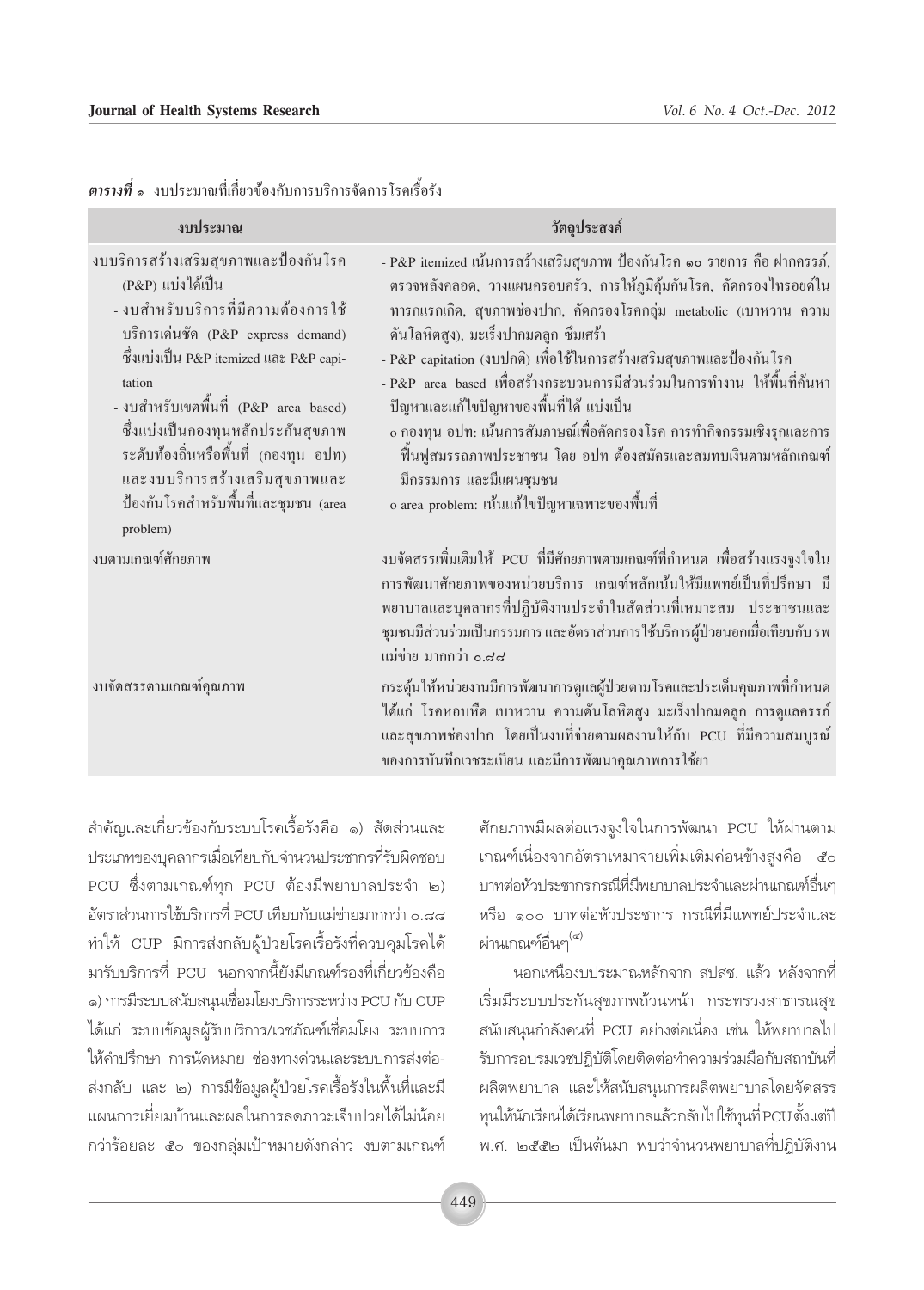| งบประมาณ                                                                                                                                                                                                                                                                                                                                                                                                    | วัตถุประสงค์                                                                                                                                                                                                                                                                                                                                                                                                                                                                                                                                                                                                                                                                                   |
|-------------------------------------------------------------------------------------------------------------------------------------------------------------------------------------------------------------------------------------------------------------------------------------------------------------------------------------------------------------------------------------------------------------|------------------------------------------------------------------------------------------------------------------------------------------------------------------------------------------------------------------------------------------------------------------------------------------------------------------------------------------------------------------------------------------------------------------------------------------------------------------------------------------------------------------------------------------------------------------------------------------------------------------------------------------------------------------------------------------------|
| งบบริการสร้างเสริมสุขภาพและป้องกันโรค<br>(P&P) แบ่งได้เป็น<br>- งบสำหรับบริการที่มีความต้องการใช้<br>บริการเด่นชัด (P&P express demand)<br>ซึ่งแบ่งเป็น P&P itemized และ P&P capi-<br>tation<br>- งบสำหรับเขตพื้นที่ (P&P area based)<br>ซึ่งแบ่งเป็นกองทุนหลักประกันสุขภาพ<br>ระดับท้องถิ่นหรือพื้นที่ (กองทุน อปท)<br>และงบบริการสร้างเสริมสุขภาพและ<br>ป้องกันโรคสำหรับพื้นที่และชุมชน (area<br>problem) | - P&P itemized เน้นการสร้างเสริมสุขภาพ ป้องกันโรค ๑๐ รายการ คือ ฝากครรภ์,<br>ตรวจหลังคลอด, วางแผนครอบครัว, การให้ภูมิคุ้มกันโรค, คัดกรองไทรอยด์ใน<br>ทารกแรกเกิด, สุขภาพช่องปาก, คัดกรองโรคกลุ่ม metabolic (เบาหวาน ความ<br>้คันโลหิตสูง), มะเร็งปากมคลูก ซึมเศร้า<br>- P&P capitation (งบปกติ) เพื่อใช้ในการสร้างเสริมสุขภาพและป้องกันโรค<br>- P&P  area  based  เพื่อสร้างกระบวนการมีส่วนร่วมในการทำงาน  ให้พื้นที่ค้นหา<br>ปัญหาและแก้ไขปัญหาของพื้นที่ได้ แบ่งเป็น<br>o กองทุน อปท: เน้นการสัมภาษณ์เพื่อคัดกรองโรค การทำกิจกรรมเชิงรุกและการ<br>ฟื้นฟูสมรรถภาพประชาชน โดย อปท ต้องสมัครและสมทบเงินตามหลักเกณฑ์<br>มีกรรมการ และมีแผนชุมชน<br>o area problem: เน้นแก้ไขปัญหาเฉพาะของพื้นที่ |
| งบตามเกณฑ์ศักยภาพ                                                                                                                                                                                                                                                                                                                                                                                           | งบจัดสรรเพิ่มเติมให้ PCU ที่มีศักยภาพตามเกณฑ์ที่กำหนด เพื่อสร้างแรงจูงใจใน<br>การพัฒนาศักยภาพของหน่วยบริการ เกณฑ์หลักเน้นให้มีแพทย์เป็นที่ปรึกษา มี<br>พยาบาลและบุคลากรที่ปฏิบัติงานประจำในสัดส่วนที่เหมาะสม ประชาชนและ<br>ชุมชนมีส่วนร่วมเป็นกรรมการ และอัตราส่วนการใช้บริการผู้ป่วยนอกเมื่อเทียบกับ รพ<br>แม่ข่าย มากกว่า 0.๘๘                                                                                                                                                                                                                                                                                                                                                               |
| งบจัดสรรตามเกณฑ์คุณภาพ                                                                                                                                                                                                                                                                                                                                                                                      | กระตุ้นให้หน่วยงานมีการพัฒนาการดูแลผู้ป่วยตามโรคและประเด็นคุณภาพที่กำหนด<br>ได้แก่ โรคหอบหืด เบาหวาน ความดันโลหิตสูง มะเร็งปากมดลูก การดูแลครรภ์<br>และสุขภาพช่องปาก โดยเป็นงบที่ง่ายตามผลงานให้กับ PCU ที่มีความสมบูรณ์<br>ของการบันทึกเวชระเบียน และมีการพัฒนาคุณภาพการใช้ยา                                                                                                                                                                                                                                                                                                                                                                                                                 |

#### ี <mark>ตารางที่ ๑</mark> งบประมาณที่เกี่ยวข้องกับการบริการจัดการโรคเรื้อรัง

สำคัญและเกี่ยวข้องกับระบบโรคเรื้อรังคือ ๑) สัดส่วนและ ประเภทของบุคลากรเมื่อเทียบกับจำนวนประชากรที่รับผิดชอบ PCU ซึ่งตามเกณฑ์ทุก PCU ต้องมีพยาบาลประจำ ๒) อัตราส่วนการใช้บริการที่ PCU เทียบกับแม่ข่ายมากกว่า ๐.๘๘ ทำให้ CUP มีการส่งกลับผู้ป่วยโรคเรื้อรังที่ควบคุมโรคได้ มารับบริการที่ PCU นอกจากนี้ยังมีเกณฑ์รองที่เกี่ยวข้องคือ ๑) การมีระบบสนับสนุนเชื่อมโยงบริการระหว่าง PCU กับ CUP ได้แก่ ระบบข้อมูลผู้รับบริการ/เวชภัณฑ์เชื่อมโยง ระบบการ ให้คำปริ๊กษา การนัดหมาย ช่องทางด่วนและระบบการส่งต่อ-ส่งกลับ และ ๒) การมีข้อมูลผู้ป่วยโรคเรื้อรังในพื้นที่และมี แผนการเยี่ยมบ้านและผลในการลดภาวะเจ็บป่วยได้ไม่น้อย กว่าร้อยละ ๕๐ ของกลุ่มเป้าหมายดังกล่าว งบตามเกณฑ์ ์ศักยภาพมีผลต่อแรงจูงใจในการพัฒนา PCU ให้ผ่านตาม เกณฑ์เนื่องจากอัตราเหมาจ่ายเพิ่มเติมค่อนข้างสูงคือ ๕๐ บาทต่อหัวประชากรกรณีที่มีพยาบาลประจำและผ่านเกณฑ์อื่นๆ หรือ ๑๐๐ บาทต่อหัวประชากร กรณีที่มีแพทย์ประจำและ ผ่านเกณฑ์อื่นๆ<sup>(๔)</sup>

นอกเหนืองบประมาณหลักจาก สปสช. แล้ว หลังจากที่ เริ่มมีระบบประกันสุขภาพถ้วนหน้า กระทรวงสาธารณสุข สนับสนุนกำลังคนที่ PCU อย่างต่อเนื่อง เช่น ให้พยาบาลไป รับการอบรมเวชปฏิบัติโดยติดต่อทำความร่วมมือกับสถาบันที่ ผลิตพยาบาล และให้สนับสนุนการผลิตพยาบาลโดยจัดสรร ทุนให้นักเรียนได้เรียนพยาบาลแล้วกลับไปใช้ทุนที่ PCU ตั้งแต่ปี พ.ศ. ๒๕๕๒ เป็นต้นมา พบว่าจำนวนพยาบาลที่ปฏิบัติงาน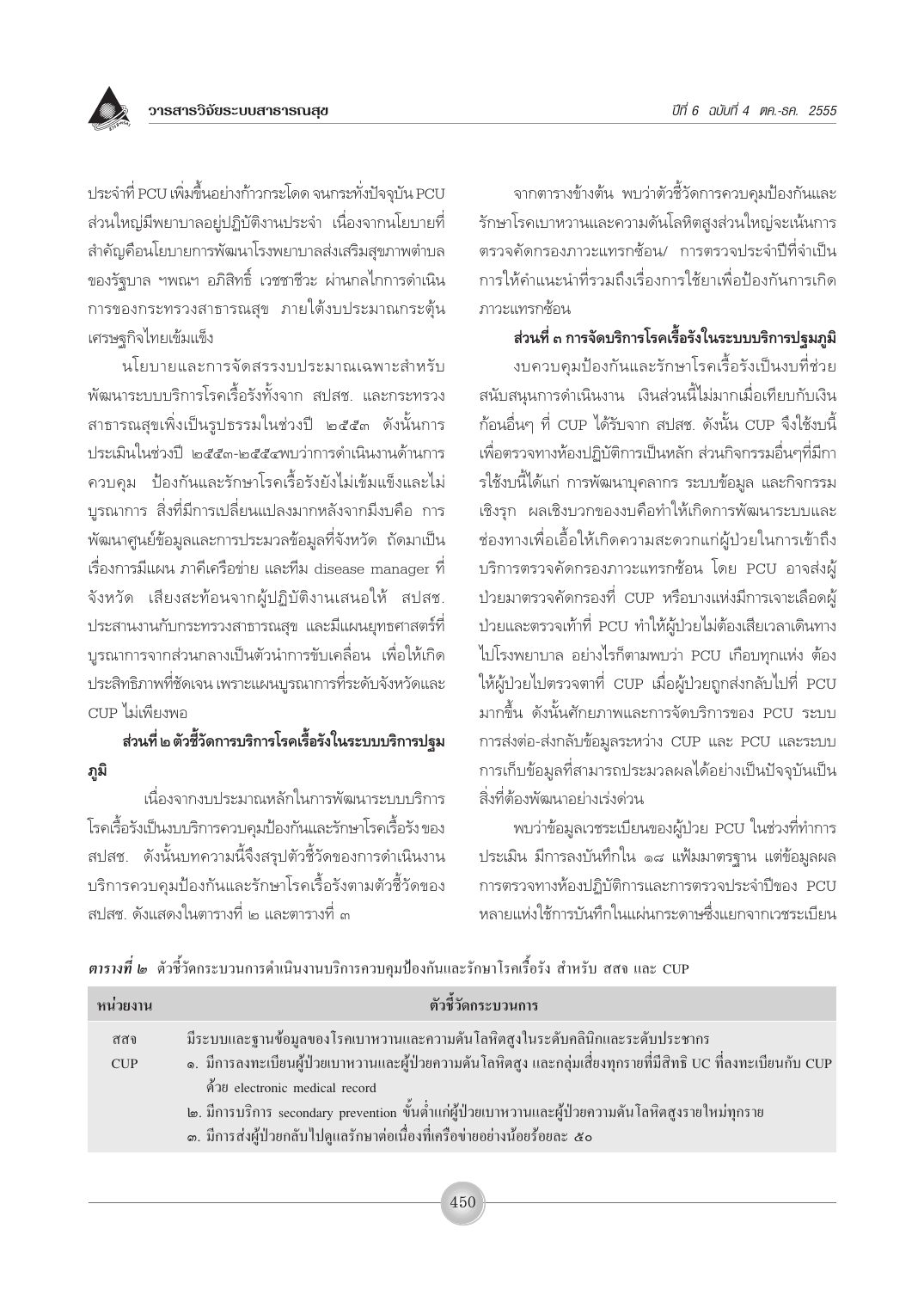

ประจำที่ PCU เพิ่มขึ้นอย่างก้าวกระโดด จนกระทั่งปัจจุบัน PCU ส่วนใหญ่มีพยาบาลอยู่ปฏิบัติงานประจำ เนื่องจากนโยบายที่ สำคัญคือนโยบายการพัฒนาโรงพยาบาลส่งเสริมสุขภาพตำบล ของรัฐบาล ฯพณฯ อภิสิทธิ์ เวชชาชีวะ ผ่านกลไกการดำเนิน การของกระทรวงสาธารณสุข ภายใต้งบประมาณกระตุ้น เศรษฐกิจไทยเข้มแข็ง

นโยบายและการจัดสรรงบประมาณเฉพาะสำหรับ พัฒนาระบบบริการโรคเรื้อรังทั้งจาก สปสช. และกระทรวง สาธารณสุขเพิ่งเป็นรูปธรรมในช่วงปี ๒๕๕๓ ดังนั้นการ <u> ประเมินในช่วงปี ๒๕๕๓-๒๕๕๔พบว่าการดำเนินงานด้านการ</u> ้ควบคุม ป้องกันและรักษาโรคเรื้อรังยังไม่เข้มแข็งและไม่ บูรณาการ สิ่งที่มีการเปลี่ยนแปลงมากหลังจากมีงบคือ การ ้พัฒนาศูนย์ข้อมูลและการประมวลข้อมูลที่จังหวัด ถัดมาเป็น เรื่องการมีแผน ภาคีเครือข่าย และทีม disease manager ที่ จังหวัด เสียงสะท้อนจากผู้ปฏิบัติงานเสนอให้ สปสช. ประสานงานกับกระทรวงสาธารณสุข และมีแผนยุทธศาสตร์ที่ บูรณาการจากส่วนกลางเป็นตัวนำการขับเคลื่อน เพื่อให้เกิด ประสิทธิภาพที่ชัดเจน เพราะแผนบูรณาการที่ระดับจังหวัดและ CUP ไม่เพียงพอ

## ส่วนที่ ๒ ตัวชี้วัดการบริการโรคเรื้อรังในระบบบริการปฐม ภูมิ

เนื่องจากงบประมาณหลักในการพัฒนาระบบบริการ โรคเรื้อรังเป็นงบบริการควบคุมป้องกันและรักษาโรคเรื้อรัง ของ สปสช. ดังนั้นบทความนี้จึงสรุปตัวชี้วัดของการดำเนินงาน บริการควบคุมป้องกันและรักษาโรคเรื้อรังตามตัวชี้วัดของ สปสช ดังแสดงในตารางที่ ๒ และตารางที่ ๓

จากตารางข้างต้น พบว่าตัวชี้วัดการควบคมป้องกันและ รักษาโรคเบาหวานและความดันโลหิตสูงส่วนใหญ่จะเน้นการ ตรวจคัดกรองภาวะแทรกซ้อน/ การตรวจประจำปีที่จำเป็น การให้คำแนะนำที่รวมถึงเรื่องการใช้ยาเพื่อป้องกันการเกิด ภาวะแทรกซ้อน

### ส่วนที่ ๓ การจัดบริการโรคเรื้อรังในระบบบริการปฐมภูมิ

งบควบคมป้องกันและรักษาโรคเรื้อรังเป็นงบที่ช่วย สนับสนุนการดำเนินงาน เงินส่วนนี้ไม่มากเมื่อเทียบกับเงิน ก้อนอื่นๆ ที่ CUP ได้รับจาก สปสช. ดังนั้น CUP จึงใช้งบนี้ เพื่อตรวจทางห้องปฏิบัติการเป็นหลัก ส่วนกิจกรรมอื่นๆที่มีกา รใช้งบนี้ได้แก่ การพัฒนาบุคลากร ระบบข้อมูล และกิจกรรม เชิงรุก ผลเชิงบวกของงบคือทำให้เกิดการพัฒนาระบบและ ช่องทางเพื่อเอื้อให้เกิดความสะดวกแก่ผู้ป่วยในการเข้าถึง บริการตรวจคัดกรองภาวะแทรกซ้อน โดย PCU อาจส่งผู้ ป่วยมาตรวจคัดกรองที่ CUP หรือบางแห่งมีการเจาะเลือดผู้ ป่วยและตรวจเท้าที่ PCU ทำให้ผู้ป่วยไม่ต้องเสียเวลาเดินทาง ไปโรงพยาบาล อย่างไรก็ตามพบว่า PCU เกือบทุกแห่ง ต้อง ให้ผู้ป่วยไปตรวจตาที่ CUP เมื่อผู้ป่วยถูกส่งกลับไปที่ PCU มากขึ้น ดังนั้นศักยภาพและการจัดบริการของ PCU ระบบ การส่งต่อ-ส่งกลับข้อมูลระหว่าง CUP และ PCU และระบบ การเก็บข้อมูลที่สามารถประมวลผลได้อย่างเป็นปัจจุบันเป็น สิ่งที่ต้องพัฒนาอย่างเร่งด่วน

พบว่าข้อมูลเวชระเบียนของผู้ป่วย PCU ในช่วงที่ทำการ ประเมิน มีการลงบันทึกใน ๑๘ แฟ้มมาตรฐาน แต่ข้อมูลผล การตรวจทางห้องปฏิบัติการและการตรวจประจำปีของ PCU หลายแห่งใช้การบันทึกในแผ่นกระดาษชึ่งแยกจากเวชระเบียน

**ตารางที่ ๒** ตัวชี้วัดกระบวนการดำเนินงานบริการควบคุมป้องกันและรักษาโรคเรื้อรัง สำหรับ สสจ และ CUP

| หน่วยงาน    | ้ตัวชี้วัดกระบวนการ                                                                                                                                                                                                                                                                                                                                                                                                       |
|-------------|---------------------------------------------------------------------------------------------------------------------------------------------------------------------------------------------------------------------------------------------------------------------------------------------------------------------------------------------------------------------------------------------------------------------------|
| ิสสว<br>CUP | มีระบบและฐานข้อมูลของโรคเบาหวานและความคันโลหิตสูงในระดับคลินิกและระดับประชากร<br>ึ ๑.  มีการลงทะเบียนผู้ป่วยเบาหวานและผู้ป่วยความดันโลหิตสูง และกลุ่มเสี่ยงทุกรายที่มีสิทธิ UC ที่ลงทะเบียนกับ CUP<br>ค้วย electronic medical record<br>ี ๒. มีการบริการ secondary prevention ขั้นต่ำแก่ผู้ป่วยเบาหวานและผู้ป่วยความดันโลหิตสูงรายใหม่ทุกราย<br>ึด. มีการส่งผู้ป่วยกลับไปดูแลรักษาต่อเนื่องที่เครือข่ายอย่างน้อยร้อยละ ๕๐ |
|             |                                                                                                                                                                                                                                                                                                                                                                                                                           |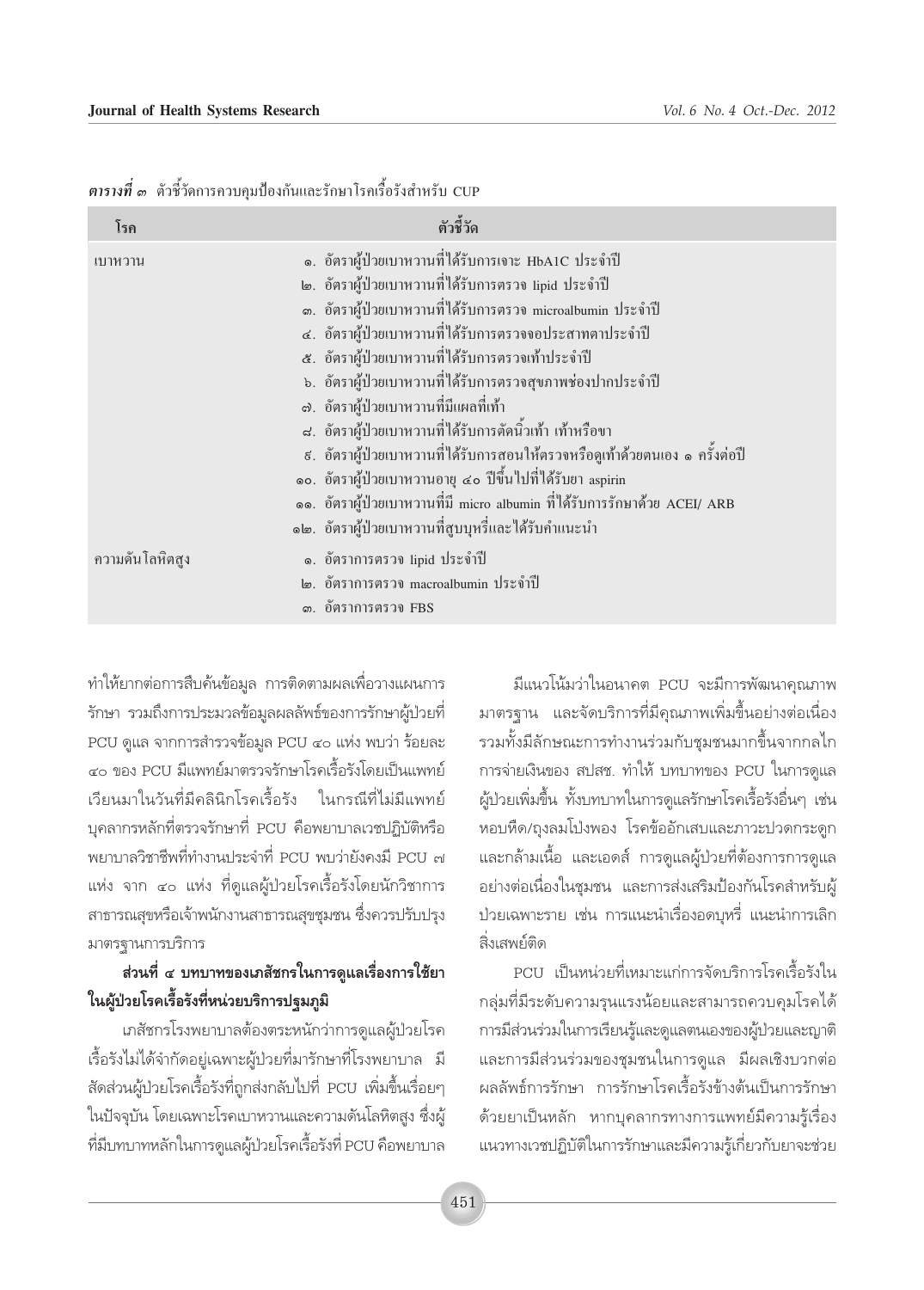| โรค                       | ตัวชี้วัด                                                                      |
|---------------------------|--------------------------------------------------------------------------------|
| เบาหวาน                   | ๑. อัตราผู้ป่วยเบาหวานที่ได้รับการเจาะ HbA1C ประจำปี                           |
|                           | ๒. อัตราผู้ป่วยเบาหวานที่ได้รับการตรวจ lipid ประจำปี                           |
|                           | ๑. อัตราผู้ป่วยเบาหวานที่ได้รับการตรวจ microalbumin ประจำปี                    |
|                           | ๔. อัตราผู้ป่วยเบาหวานที่ได้รับการตรวจจอประสาทตาประจำปี                        |
|                           | ี ๕. อัตราผู้ป่วยเบาหวานที่ได้รับการตรวจเท้าประจำปี                            |
|                           | ้ ๖. อัตราผู้ป่วยเบาหวานที่ได้รับการตรวจสุขภาพช่องปากประจำปี                   |
|                           | ๗. อัตราผู้ป่วยเบาหวานที่มีแผลที่เท้า                                          |
|                           | ี่ ๘. อัตราผู้ป่วยเบาหวานที่ได้รับการตัดนิ้วเท้า เท้าหรือขา                    |
|                           | ้ ៩. อัตราผู้ป่วยเบาหวานที่ได้รับการสอนให้ตรวจหรือดูเท้าด้วยตนเอง ๑ ครั้งต่อปี |
|                           | ๑๐. อัตราผู้ป่วยเบาหวานอายุ ๔๐ ปีขึ้นไปที่ได้รับยา aspirin                     |
|                           | ๑๑. อัตราผู้ป่วยเบาหวานที่มี micro albumin ที่ได้รับการรักษาด้วย ACEI/ ARB     |
|                           | ึ๑๒. อัตราผู้ป่วยเบาหวานที่สูบบุหรี่และได้รับคำแนะนำ                           |
| ความดัน โลหิต <b>สู</b> ง | ๑. อัตราการตรวจ lipid ประจำปี                                                  |
|                           | ๒. อัตราการตรวจ macroalbumin ประจำปี                                           |
|                           | ๑. อัตราการตรวจ FBS                                                            |

*ตารางที่ ๑* ตัวชี้วัดการควบคุมป้องกันและรักษาโรคเรื้อรังสำหรับ CUP

ู้ ทำให้ยากต่อการสืบค้นข้อมูล การติดตามผลเพื่อวางแผนการ ู้รักษา รวมถึงการประมวลข้อมูลผลลัพธ์์ของการรักษาผู้ป่วยที่  $\rm{PCU}$  ดูแล จากการสำรวจข้อมูล  $\rm{PCU}$  ๔๐ แห่ง พบว่า ร้อยละ ๔๐ ของ PCU มีแพทย์มาตรวจรักษาโรคเรื้อรังโดยเป็นแพทย์ ี่<br>เวียนมาในวันที่มีคลินิกโรคเรื้อรัง ในกรณีที่ไม่มีแพทย์ บุคลากรหลักที่ตรวจรักษาที่ PCU คือพยาบาลเวชปฏิบัติหรือ พยาบาลวิชาชีพที่ทำงานประจำที่ PCU พบว่ายังคงมี PCU ๗ แห่ง จาก ๔๐ แห่ง ที่ดูแลผู้ป่วยโรคเรื้อรังโดยนักวิชาการ สาธารณสุขหรือเจ้าพนักงานสาธารณสุขชุมชน ซึ่งควรปรับปรุง มาตรฐานการบริการ

## ี่ ส่วนที่ ๔ บทบาทของเภสัชกรในการดูแลเรื่องการใช้ยา ์ในผู้ป่วยโรคเรื้อรังที่หน่วยบริการปฐมภูมิ

เภสัชกรโรงพยาบาลต้องตระหนักว่าการดูแลผู้ป่วยโรค ้เรื้อรังไม่ได้จำกัดอยู่เฉพาะผู้ป่วยที่มารักษาที่โรงพยาบาล มี สัดส่วนผู้ป่วยโรคเรื้อรังที่ถูกส่งกลับไปที่ PCU เพิ่มขึ้นเรื่อยๆ ในปัจจุบัน โดยเฉพาะโรคเบาหวานและความดันโลหิตสูง ซึ่งผู้ ู้ที่มีบทบาทหลักในการดูแลผู้ป่วยโรคเรื้อรังที่ PCU คือพยาบาล

มีแนวโน้มว่าในอนาคต PCU จะมีการพัฒนาคุณภาพ มาตรฐาน และจัดบริการที่มีคุณภาพเพิ่มขึ้นอย่างต่อเนื่อง รวมทั้งมีลักษณะการทำงานร่วมกับชุมชนมากขึ้นจากกลไก การจ่ายเงินของ สปสช. ทำให้ บทบาทของ PCU ในการดูแล ู้ผู้ป่วยเพิ่มขึ้น ทั้งบทบาทในการดูแลรักษาโรคเรื้อรังอื่นๆ เช่น ทอบหืด/ถุงลมโป่งพอง โรคข้ออักเสบและภาวะปวดกระดูก และกล้ามเนื้อ และเอดส์ การดูแลผู้ป่วยที่ต้องการการดูแล ือย่างต่อเนื่องในชุมชน และการส่งเสริมป้องกันโรคสำหรับผู้ <u>ป๋วยเฉพาะราย เช่น การแนะนำเรื่องอดบุหรี่ แนะนำการเลิก</u> ี่สิ่งเสพย์ติด

PCU เป็นหน่วยที่เหมาะแก่การจัดบริการโรคเรื้อรังใน ึกลุ่มที่มีระดับความรุนแรงน้อยและสามารถควบคุมโรคได้ ำการมีส่วนร่วมในการเรียนรู้และดูแลตนเองของผู้ป่วยและญาติ และการมีส่วนร่วมของชุมชนในการดูแล มีผลเชิงบวกต่อ ผลลัพธ์การรักษา การรักษาโรคเรื้อรังข้างต้นเป็นการรักษา ์ด้วยยาเป็นหลัก หากบุคลากรทางการแพทย์มีความรู้เรื่อง แนวทางเวชปฏิบัติในการรักษาและมีความรู้เกี่ยวกับยาจะช่วย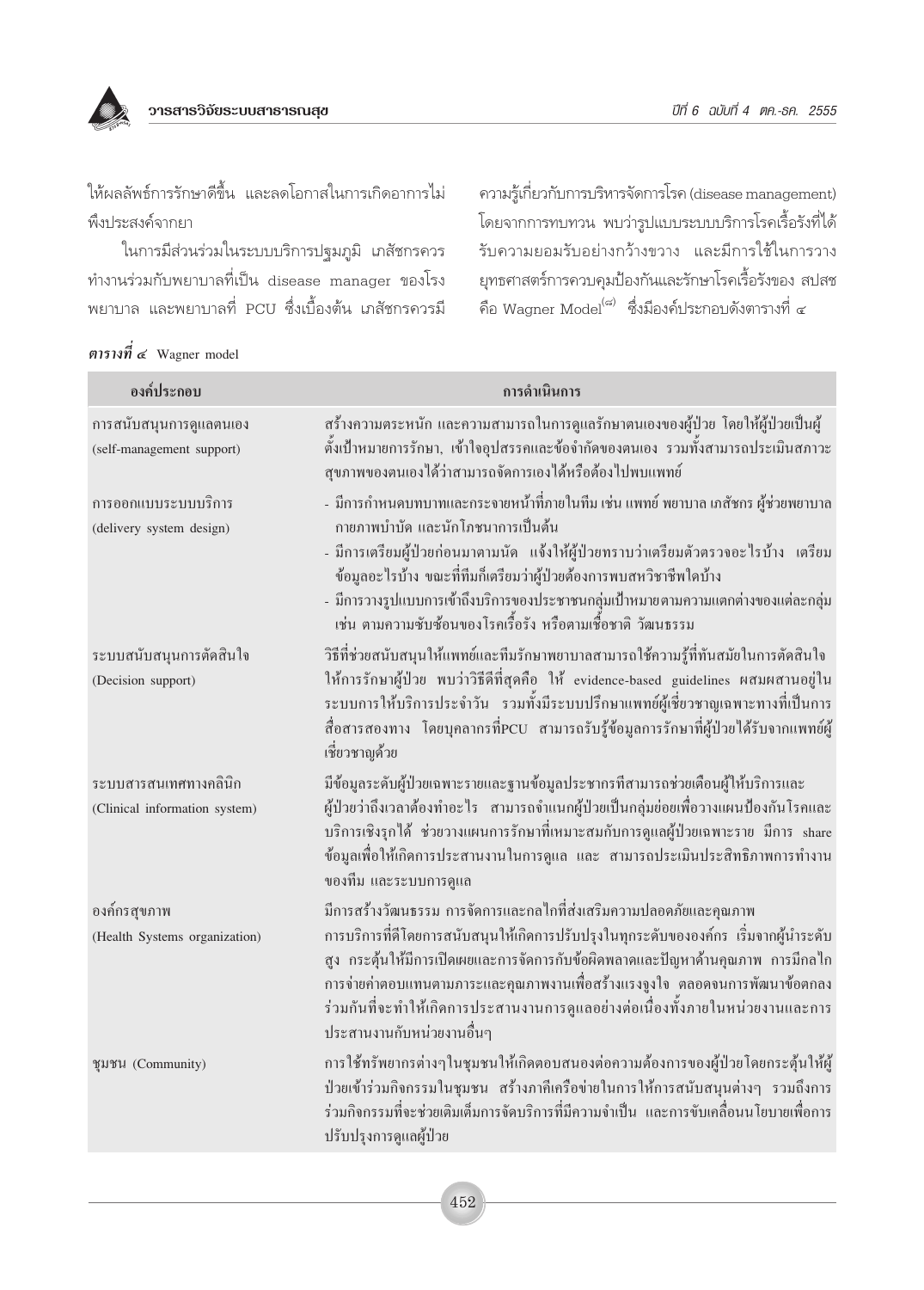ให้ผลลัพธ์การรักษาดีขึ้น และลดโอกาสในการเกิดอาการไม่ พึ่งประสงค์จากยา

ในการมีส่วนร่วมในระบบบริการปฐมภูมิ เภสัชกรควร ทำงานร่วมกับพยาบาลที่เป็น disease manager ของโรง ้พยาบาล และพยาบาลที่ PCU ซึ่งเบื้องต้น เภสัชกรควรมี ความรู้เกี่ยวกับการบริหารจัดการโรค (disease management) โดยจากการทบทวน พบว่ารูปแบบระบบบริการโรคเรื้อรังที่ได้ รับความยอมรับอย่างกว้างขวาง และมีการใช้ในการวาง ยุทธศาสตร์การควบคุมป้องกันและรักษาโรคเรื้อรังของ สปสช ์ คือ Wagner Model<sup>(๘)</sup> ซึ่งมีองค์ประกอบดังตารางที่ ๔

| ตารางที่ ๔ Wagner model |  |  |
|-------------------------|--|--|
|-------------------------|--|--|

| องค์ประกอบ                                             | การดำเนินการ                                                                                                                                                                                                                                                                                                                                                                                                                                |
|--------------------------------------------------------|---------------------------------------------------------------------------------------------------------------------------------------------------------------------------------------------------------------------------------------------------------------------------------------------------------------------------------------------------------------------------------------------------------------------------------------------|
| การสนับสนุนการดูแลตนเอง<br>(self-management support)   | สร้างความตระหนัก และความสามารถในการดูแลรักษาตนเองของผู้ป่วย โดยให้ผู้ป่วยเป็นผู้<br>ตั้งเป้าหมายการรักษา, เข้าใจอุปสรรคและข้อจำกัดของตนเอง รวมทั้งสามารถประเมินสภาวะ<br>สุขภาพของตนเองใด้ว่าสามารถจัดการเองใด้หรือต้องใปพบแพทย์                                                                                                                                                                                                             |
| การออกแบบระบบบริการ<br>(delivery system design)        | - มีการกำหนดบทบาทและกระจายหน้าที่ภายในทีม เช่น แพทย์ พยาบาล เภสัชกร ผู้ช่วยพยาบาล<br>กายภาพบำบัด และนักโภชนาการเป็นต้น<br>- มีการเตรียมผู้ป่วยก่อนมาตามนัด  แจ้งให้ผู้ป่วยทราบว่าเตรียมตัวตรวจอะไรบ้าง  เตรียม<br>ข้อมูลอะไรบ้าง ขณะที่ทีมก็เตรียมว่าผู้ป่วยต้องการพบสหวิชาชีพใดบ้าง<br>- มีการวางรูปแบบการเข้าถึงบริการของประชาชนกลุ่มเป้าหมายตามความแตกต่างของแต่ละกลุ่ม<br>เช่น ตามความซับซ้อนของโรคเรื้อรัง หรือตามเชื้อชาติ วัฒนธรรม   |
| ระบบสนับสนุนการตัดสินใจ<br>(Decision support)          | วิธีที่ช่วยสนับสนุนให้แพทย์และทีมรักษาพยาบาลสามารถใช้ความรู้ที่ทันสมัยในการตัดสินใจ<br>ให้การรักษาผู้ป่วย พบว่าวิธีดีที่สุดคือ ให้ evidence-based guidelines ผสมผสานอยู่ใน<br>ระบบการให้บริการประจำวัน รวมทั้งมีระบบปรึกษาแพทย์ผู้เชี่ยวชาญเฉพาะทางที่เป็นการ<br>สื่อสารสองทาง โดยบุคลากรที่PCU สามารถรับรู้ข้อมูลการรักษาที่ผู้ป่วยได้รับจากแพทย์ผู้<br>เชี่ยวชาญค้วย                                                                      |
| ระบบสารสนเทศทางคลินิก<br>(Clinical information system) | มีข้อมูลระดับผู้ป่วยเฉพาะรายและฐานข้อมูลประชากรที่สามารถช่วยเดือนผู้ให้บริการและ<br>ผู้ป่วยว่าถึงเวลาต้องทำอะไร สามารถจำแนกผู้ป่วยเป็นกลุ่มย่อยเพื่อวางแผนป้องกันโรคและ<br>บริการเชิงรุกได้ ช่วยวางแผนการรักษาที่เหมาะสมกับการดูแลผู้ป่วยเฉพาะราย มีการ share<br>ข้อมูลเพื่อให้เกิดการประสานงานในการดูแล และ สามารถประเมินประสิทธิภาพการทำงาน<br>ของทีม และระบบการดูแล                                                                      |
| องค์กรสุขภาพ<br>(Health Systems organization)          | มีการสร้างวัฒนธรรม การจัดการและกลไกที่ส่งเสริมความปลอดภัยและคุณภาพ<br>การบริการที่ดีโดยการสนับสนุนให้เกิดการปรับปรุงในทุกระดับขององค์กร เริ่มจากผู้นำระดับ<br>สูง กระตุ้นให้มีการเปิดเผยและการจัดการกับข้อผิดพลาดและปัญหาด้านคุณภาพ การมีกลไก<br>ึการจ่ายค่าตอบแทนตามภาระและคุณภาพงานเพื่อสร้างแรงจูงใจ ตลอดจนการพัฒนาข้อตกลง<br>ร่วมกันที่จะทำให้เกิดการประสานงานการดูแลอย่างต่อเนื่องทั้งภายในหน่วยงานและการ<br>ประสานงานกับหน่วยงานอื่นๆ |
| ชุมชน (Community)                                      | การใช้ทรัพยากรต่างๆในชุมชนให้เกิดตอบสนองต่อความด้องการของผู้ป่วยโดยกระตุ้นให้ผู้<br>ป่วยเข้าร่วมกิจกรรมในชุมชน สร้างภาคีเครือข่ายในการให้การสนับสนุนต่างๆ รวมถึงการ<br>ร่วมกิจกรรมที่จะช่วยเติมเต็มการจัดบริการที่มีความจำเป็น และการขับเคลื่อนนโยบายเพื่อการ<br>ปรับปรุงการดูแลผู้ป่วย                                                                                                                                                     |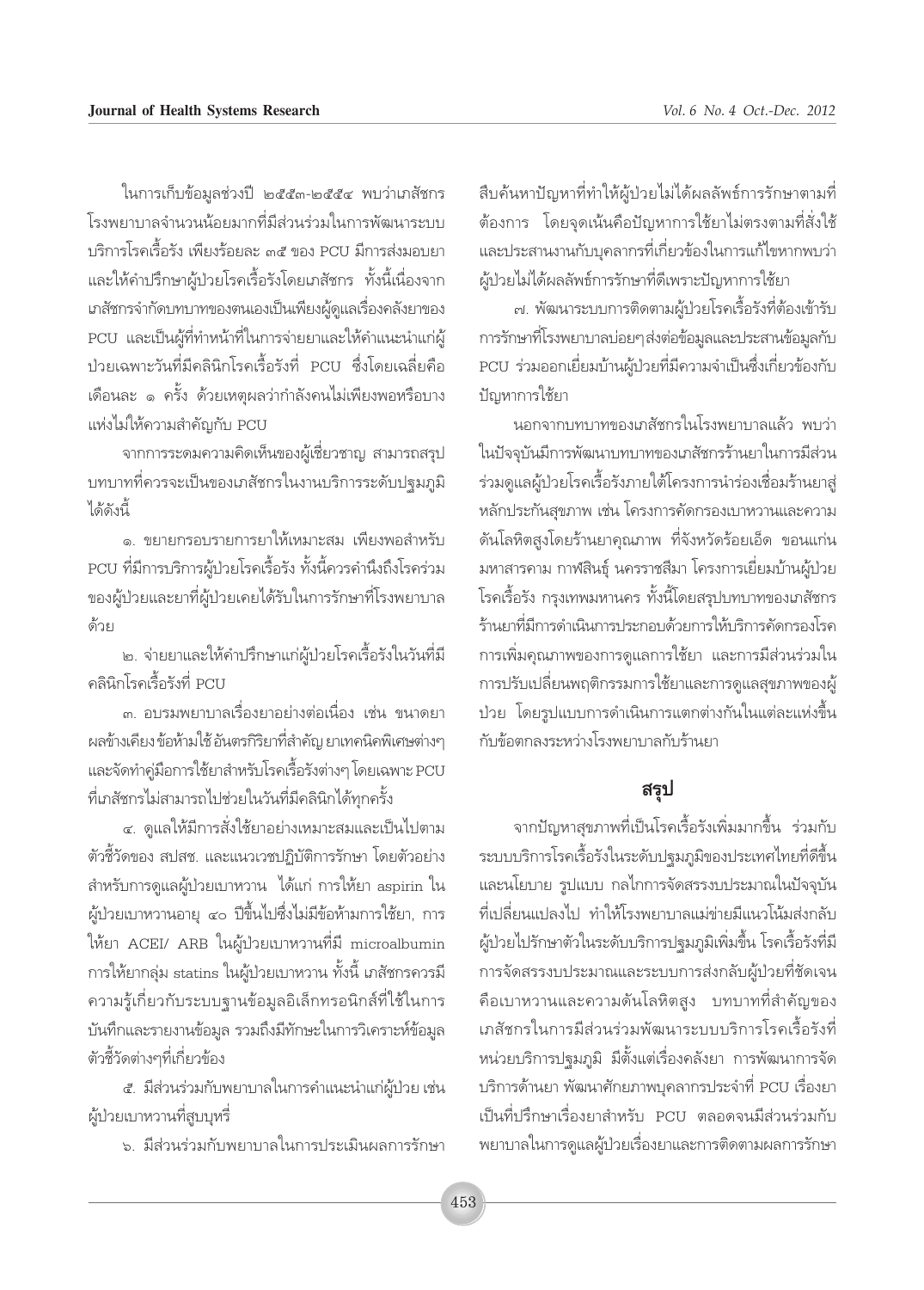ในการเก็บข้อมูลช่วงปี ๒๕๕๓-๒๕๕๔ พบว่าเภสัชกร โรงพยาบาลจำนวนน้อยมากที่มีส่วนร่วมในการพัฒนาระบบ บริการโรคเรื้อรัง เพียงร้อยละ ๓๕ ของ PCU มีการส่งมอบยา และให้คำปรึกษาผู้ป่วยโรคเรื้อรังโดยเภสัชกร ทั้งนี้เนื่องจาก เภสัชกรจำกัดบทบาทของตนเองเป็นเพียงผู้ดูแลเรื่องคลังยาของ PCU และเป็นผู้ที่ทำหน้าที่ในการจ่ายยาและให้คำแนะนำแก่ผู้ ป่วยเฉพาะวันที่มีคลินิกโรคเรื้อรังที่ PCU ซึ่งโดยเฉลี่ยคือ เดือนละ ๑ ครั้ง ด้วยเหตุผลว่ากำลังคนไม่เพียงพอหรือบาง แห่งไม่ให้ความสำคัญกับ PCU

จากการระดมความคิดเห็นของผู้เชี่ยวชาญ สามารถสรุป <u>็บทบาทที่ควรจะเป็นของเภสัชกรในงานบริการระดับปฐมภูมิ</u> 1 ลัดังนี้

๑. ขยายกรอบรายการยาให้เหมาะสม เพียงพอสำหรับ PCU ที่มีการบริการผู้ป่วยโรคเรื้อรัง ทั้งนี้ควรคำนึงถึงโรคร่วม ของผู้ป่วยและยาที่ผู้ป่วยเคยได้รับในการรักษาที่โรงพยาบาล ด้วย

๒. จ่ายยาและให้คำปรึกษาแก่ผู้ป่วยโรคเรื้อรังในวันที่มี คลินิกโรคเรื้อรังที่ PCII

.๓. อบรมพยาบาลเรื่องยาอย่างต่อเนื่อง เช่น ขนาดยา ผลข้างเคียง ข้อห้ามใช้ อันตรกิริยาที่สำคัญ ยาเทคนิคพิเศษต่างๆ และจัดทำคู่มือการใช้ยาสำหรับโรคเรื้อรังต่างๆ โดยเฉพาะ PCU ที่เภสัชกรไม่สามารถไปช่วยในวันที่มีคลินิกได้ทุกครั้ง

๔. ดูแลให้มีการสั่งใช้ยาอย่างเหมาะสมและเป็นไปตาม ตัวชี้วัดของ สปสช. และแนวเวชปฏิบัติการรักษา โดยตัวอย่าง ้สำหรับการดูแลผู้ป่วยเบาหวาน ได้แก่ การให้ยา aspirin ใน ผู้ป่วยเบาหวานอายุ ๔๐ ปีขึ้นไปซึ่งไม่มีข้อห้ามการใช้ยา, การ ให้ยา ACEI/ ARB ในผู้ป่วยเบาหวานที่มี microalbumin การให้ยากลุ่ม statins ในผู้ป่วยเบาหวาน ทั้งนี้ เภสัชกรควรมี ความรู้เกี่ยวกับระบบฐานข้อมูลอิเล็กทรอนิกส์ที่ใช้ในการ บันทึกและรายงานข้อมูล รวมถึงมีทักษะในการวิเคราะห์ข้อมูล ตัวชี้วัดต่างๆที่เกี่ยวข้อง

๕. มีส่วนร่วมกับพยาบาลในการคำแนะนำแก่ผู้ป่วย เช่น ผู้ป่วยเบาหวานที่สูบบุหรี่

๖. มีส่วนร่วมกับพยาบาลในการประเมินผลการรักษา

สืบค้นหาปัญหาที่ทำให้ผู้ป่วยไม่ได้ผลลัพธ์การรักษาตามที่ ้ต้องการ โดยจุดเน้นคือปัญหาการใช้ยาไม่ตรงตามที่สั่งใช้ และประสานงานกับบุคลากรที่เกี่ยวข้องในการแก้ไขหากพบว่า ผู้ป่วยไม่ได้ผลลัพธ์การรักษาที่ดีเพราะปัญหาการใช้ยา

.๗. พัฒนาระบบการติดตามผู้ป่วยโรคเรื้อรังที่ต้องเข้ารับ การรักษาที่โรงพยาบาลบ่อยๆส่งต่อข้อมูลและประสานข้อมูลกับ PCU ร่วมออกเยี่ยมบ้านผู้ป่วยที่มีความจำเป็นซึ่งเกี่ยวข้องกับ ปัญหาการใช้ยา

นอกจากบทบาทของเภสัชกรในโรงพยาบาลแล้ว พบว่า ในปัจจุบันมีการพัฒนาบทบาทของเภสัชกรร้านยาในการมีส่วน ร่วมดูแลผู้ป่วยโรคเรื้อรังภายใต้โครงการนำร่องเชื่อมร้านยาสู่ หลักประกันสุขภาพ เช่น โครงการคัดกรองเบาหวานและความ ดันโลหิตสูงโดยร้านยาคุณภาพ ที่จังหวัดร้อยเอ็ด ขอนแก่น มหาสารคาม กาฬสินธุ์ นครราชสีมา โครงการเยี่ยมบ้านผู้ป่วย โรคเรื้อรัง กรุงเทพมหานคร ทั้งนี้โดยสรุปบทบาทของเภสัชกร ร้านยาที่มีการดำเนินการประกอบด้วยการให้บริการคัดกรองโรค การเพิ่มคุณภาพของการดูแลการใช้ยา และการมีส่วนร่วมใน การปรับเปลี่ยนพฤติกรรมการใช้ยาและการดูแลสุขภาพของผู้ ป่วย โดยรูปแบบการดำเนินการแตกต่างกันในแต่ละแห่งขึ้น กับข้อตกลงระหว่างโรงพยาบาลกับร้านยา

#### สรุป

จากปัญหาสุขภาพที่เป็นโรคเรื้อรังเพิ่มมากขึ้น ร่วมกับ ระบบบริการโรคเรื้อรังในระดับปฐมภูมิของประเทศไทยที่ดีขึ้น และนโยบาย รูปแบบ กลไกการจัดสรรงบประมาณในปัจจุบัน ้ที่เปลี่ยนแปลงไป ทำให้โรงพยาบาลแม่ข่ายมีแนวโน้มส่งกลับ ผู้ป่วยไปรักษาตัวในระดับบริการปฐมภูมิเพิ่มขึ้น โรคเรื้อรังที่มี การจัดสรรงบประมาณและระบบการส่งกลับผู้ป่วยที่ชัดเจน ้คือเบาหวานและความดันโลหิตสูง บทบาทที่สำคัญของ เภสัชกรในการมีส่วนร่วมพัฒนาระบบบริการโรคเรื้อรังที่ หน่วยบริการปฐมภูมิ มีตั้งแต่เรื่องคลังยา การพัฒนาการจัด บริการด้านยา พัฒนาศักยภาพบุคลากรประจำที่ PCU เรื่องยา เป็นที่ปรึกษาเรื่องยาสำหรับ PCU ตลอดจนมีส่วนร่วมกับ ่ พยาบาลในการดูแลผู้ป่วยเรื่องยาและการติดตามผลการรักษา